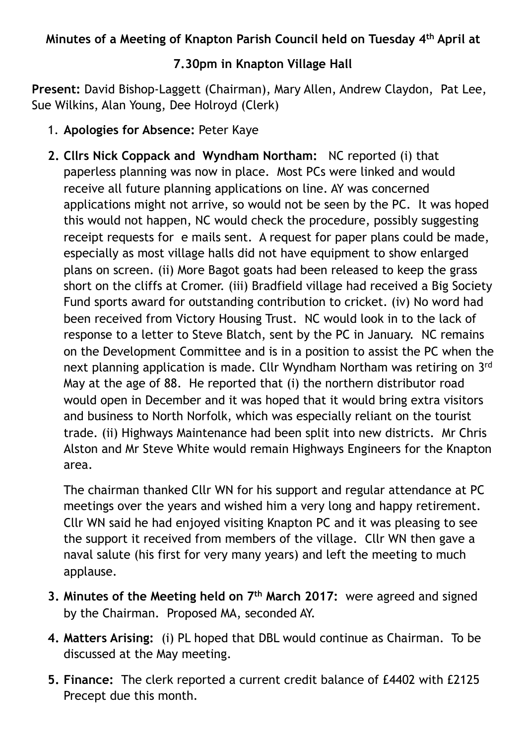## **Minutes of a Meeting of Knapton Parish Council held on Tuesday 4th April at**

## **7.30pm in Knapton Village Hall**

**Present:** David Bishop-Laggett (Chairman), Mary Allen, Andrew Claydon, Pat Lee, Sue Wilkins, Alan Young, Dee Holroyd (Clerk)

- 1. **Apologies for Absence:** Peter Kaye
- **2. Cllrs Nick Coppack and Wyndham Northam:** NC reported (i) that paperless planning was now in place. Most PCs were linked and would receive all future planning applications on line. AY was concerned applications might not arrive, so would not be seen by the PC. It was hoped this would not happen, NC would check the procedure, possibly suggesting receipt requests for e mails sent. A request for paper plans could be made, especially as most village halls did not have equipment to show enlarged plans on screen. (ii) More Bagot goats had been released to keep the grass short on the cliffs at Cromer. (iii) Bradfield village had received a Big Society Fund sports award for outstanding contribution to cricket. (iv) No word had been received from Victory Housing Trust. NC would look in to the lack of response to a letter to Steve Blatch, sent by the PC in January. NC remains on the Development Committee and is in a position to assist the PC when the next planning application is made. Cllr Wyndham Northam was retiring on 3rd May at the age of 88. He reported that (i) the northern distributor road would open in December and it was hoped that it would bring extra visitors and business to North Norfolk, which was especially reliant on the tourist trade. (ii) Highways Maintenance had been split into new districts. Mr Chris Alston and Mr Steve White would remain Highways Engineers for the Knapton area.

The chairman thanked Cllr WN for his support and regular attendance at PC meetings over the years and wished him a very long and happy retirement. Cllr WN said he had enjoyed visiting Knapton PC and it was pleasing to see the support it received from members of the village. Cllr WN then gave a naval salute (his first for very many years) and left the meeting to much applause.

- **3. Minutes of the Meeting held on 7th March 2017:** were agreed and signed by the Chairman. Proposed MA, seconded AY.
- **4. Matters Arising:** (i) PL hoped that DBL would continue as Chairman. To be discussed at the May meeting.
- **5. Finance:** The clerk reported a current credit balance of £4402 with £2125 Precept due this month.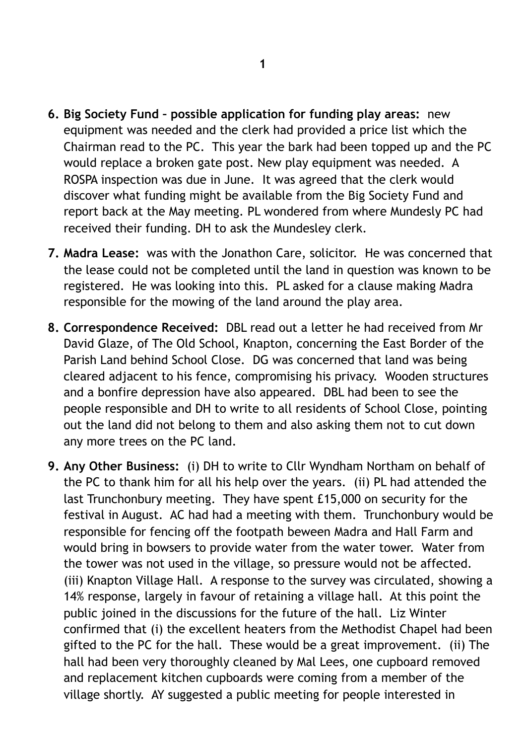- **6. Big Society Fund possible application for funding play areas:** new equipment was needed and the clerk had provided a price list which the Chairman read to the PC. This year the bark had been topped up and the PC would replace a broken gate post. New play equipment was needed. A ROSPA inspection was due in June. It was agreed that the clerk would discover what funding might be available from the Big Society Fund and report back at the May meeting. PL wondered from where Mundesly PC had received their funding. DH to ask the Mundesley clerk.
- **7. Madra Lease:** was with the Jonathon Care, solicitor. He was concerned that the lease could not be completed until the land in question was known to be registered. He was looking into this. PL asked for a clause making Madra responsible for the mowing of the land around the play area.
- **8. Correspondence Received:** DBL read out a letter he had received from Mr David Glaze, of The Old School, Knapton, concerning the East Border of the Parish Land behind School Close. DG was concerned that land was being cleared adjacent to his fence, compromising his privacy. Wooden structures and a bonfire depression have also appeared. DBL had been to see the people responsible and DH to write to all residents of School Close, pointing out the land did not belong to them and also asking them not to cut down any more trees on the PC land.
- **9. Any Other Business:** (i) DH to write to Cllr Wyndham Northam on behalf of the PC to thank him for all his help over the years. (ii) PL had attended the last Trunchonbury meeting. They have spent £15,000 on security for the festival in August. AC had had a meeting with them. Trunchonbury would be responsible for fencing off the footpath beween Madra and Hall Farm and would bring in bowsers to provide water from the water tower. Water from the tower was not used in the village, so pressure would not be affected. (iii) Knapton Village Hall. A response to the survey was circulated, showing a 14% response, largely in favour of retaining a village hall. At this point the public joined in the discussions for the future of the hall. Liz Winter confirmed that (i) the excellent heaters from the Methodist Chapel had been gifted to the PC for the hall. These would be a great improvement. (ii) The hall had been very thoroughly cleaned by Mal Lees, one cupboard removed and replacement kitchen cupboards were coming from a member of the village shortly. AY suggested a public meeting for people interested in